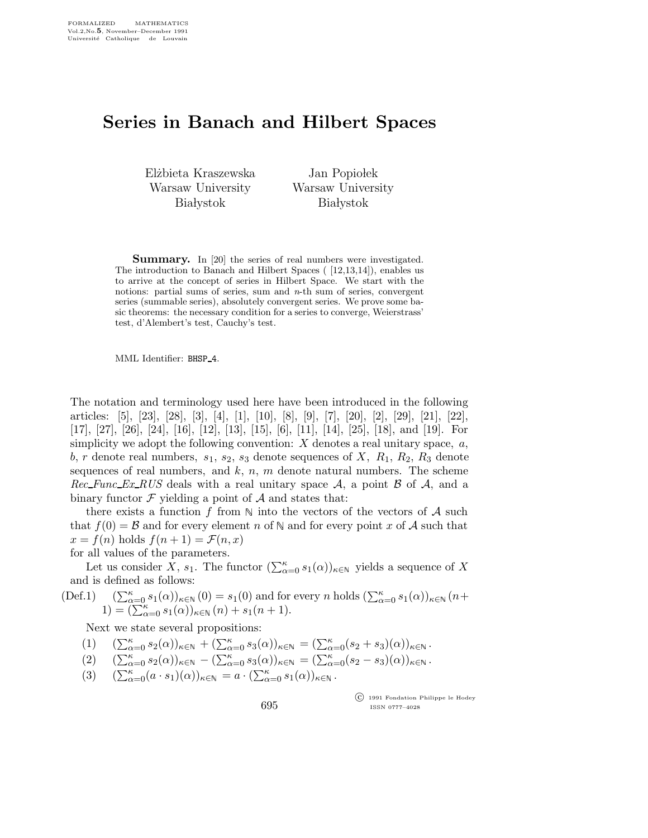## Series in Banach and Hilbert Spaces

El˙zbieta Kraszewska Warsaw University **Białystok** 

Jan Popiołek Warsaw University **Białystok** 

**Summary.** In [20] the series of real numbers were investigated. The introduction to Banach and Hilbert Spaces ( [12,13,14]), enables us to arrive at the concept of series in Hilbert Space. We start with the notions: partial sums of series, sum and  $n$ -th sum of series, convergent series (summable series), absolutely convergent series. We prove some basic theorems: the necessary condition for a series to converge, Weierstrass' test, d'Alembert's test, Cauchy's test.

MML Identifier: BHSP 4.

The notation and terminology used here have been introduced in the following articles: [5], [23], [28], [3], [4], [1], [10], [8], [9], [7], [20], [2], [29], [21], [22], [17], [27], [26], [24], [16], [12], [13], [15], [6], [11], [14], [25], [18], and [19]. For simplicity we adopt the following convention:  $X$  denotes a real unitary space,  $a$ , b, r denote real numbers,  $s_1$ ,  $s_2$ ,  $s_3$  denote sequences of X,  $R_1$ ,  $R_2$ ,  $R_3$  denote sequences of real numbers, and  $k$ ,  $n$ ,  $m$  denote natural numbers. The scheme  $Rec\_Func\_Ex\_RUS$  deals with a real unitary space A, a point B of A, and a binary functor  $\mathcal F$  yielding a point of  $\mathcal A$  and states that:

there exists a function f from  $\mathbb N$  into the vectors of the vectors of A such that  $f(0) = B$  and for every element n of N and for every point x of A such that  $x = f(n)$  holds  $f(n+1) = \mathcal{F}(n, x)$ 

for all values of the parameters.

Let us consider X,  $s_1$ . The functor  $(\sum_{\alpha=0}^{\kappa} s_1(\alpha))_{\kappa \in \mathbb{N}}$  yields a sequence of X and is defined as follows:

(Def.1) 
$$
\sum_{\alpha=0}^{\kappa} s_1(\alpha)_{\kappa \in \mathbb{N}} (0) = s_1(0)
$$
 and for every *n* holds 
$$
\sum_{\alpha=0}^{\kappa} s_1(\alpha)_{\kappa \in \mathbb{N}} (n+1) = \left( \sum_{\alpha=0}^{\kappa} s_1(\alpha) \right)_{\kappa \in \mathbb{N}} (n) + s_1(n+1).
$$

Next we state several propositions:

(1)  $(\sum_{\alpha=0}^{\kappa} s_2(\alpha))_{\kappa \in \mathbb{N}} + (\sum_{\alpha=0}^{\kappa} s_3(\alpha))_{\kappa \in \mathbb{N}} = (\sum_{\alpha=0}^{\kappa} (s_2 + s_3)(\alpha))_{\kappa \in \mathbb{N}}$ .

$$
(2) \quad (\sum_{\alpha=0}^{\kappa} s_2(\alpha))_{\kappa \in \mathbb{N}} - (\sum_{\alpha=0}^{\kappa} s_3(\alpha))_{\kappa \in \mathbb{N}} = (\sum_{\alpha=0}^{\kappa} (s_2 - s_3)(\alpha))_{\kappa \in \mathbb{N}}.
$$

(3)  $(\sum_{\alpha=0}^{\kappa} (a \cdot s_1)(\alpha))_{\kappa \in \mathbb{N}} = a \cdot (\sum_{\alpha=0}^{\kappa} s_1(\alpha))_{\kappa \in \mathbb{N}}$ .

695

 c 1991 Fondation Philippe le Hodey ISSN 0777–4028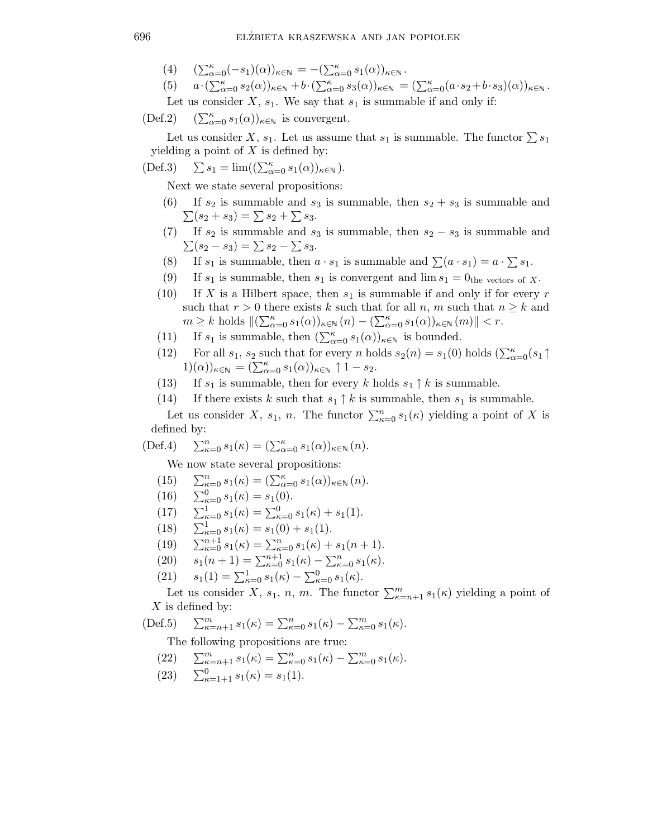(4)  $(\sum_{\alpha=0}^{\kappa}(-s_1)(\alpha))_{\kappa \in \mathbb{N}} = -(\sum_{\alpha=0}^{\kappa} s_1(\alpha))_{\kappa \in \mathbb{N}}$ .

(5) 
$$
a \cdot (\sum_{\alpha=0}^{\kappa} s_2(\alpha))_{\kappa \in \mathbb{N}} + b \cdot (\sum_{\alpha=0}^{\kappa} s_3(\alpha))_{\kappa \in \mathbb{N}} = (\sum_{\alpha=0}^{\kappa} (a \cdot s_2 + b \cdot s_3)(\alpha))_{\kappa \in \mathbb{N}}
$$
.  
Let us consider X,  $s_1$ . We say that  $s_1$  is summable if and only if:

 $(Def.2)$  $(\sum_{\alpha=0}^{\kappa} s_1(\alpha))_{\kappa \in \mathbb{N}}$  is convergent.

Let us consider X,  $s_1$ . Let us assume that  $s_1$  is summable. The functor  $\sum s_1$ yielding a point of  $X$  is defined by:

$$
(\text{Def.3}) \quad \sum s_1 = \lim ((\sum_{\alpha=0}^{\kappa} s_1(\alpha))_{\kappa \in \mathbb{N}}).
$$

Next we state several propositions:

- (6) If  $s_2$  is summable and  $s_3$  is summable, then  $s_2 + s_3$  is summable and  $\Sigma(s_2 + s_3) = \Sigma s_2 + \Sigma s_3.$
- (7) If  $s_2$  is summable and  $s_3$  is summable, then  $s_2 s_3$  is summable and  $\sum(s_2 - s_3) = \sum s_2 - \sum s_3.$
- (8) If  $s_1$  is summable, then  $a \cdot s_1$  is summable and  $\sum (a \cdot s_1) = a \cdot \sum s_1$ .
- (9) If  $s_1$  is summable, then  $s_1$  is convergent and  $\lim s_1 = 0$ <sub>the vectors of X</sub>.
- (10) If X is a Hilbert space, then  $s_1$  is summable if and only if for every r such that  $r > 0$  there exists k such that for all n, m such that  $n \geq k$  and  $m \geq k$  holds  $\|(\sum_{\alpha=0}^{\kappa} s_1(\alpha))_{\kappa \in \mathbb{N}} (n) - (\sum_{\alpha=0}^{\kappa} s_1(\alpha))_{\kappa \in \mathbb{N}} (m) \| < r$ .
- (11) If  $s_1$  is summable, then  $(\sum_{\alpha=0}^{\kappa} s_1(\alpha))_{\kappa \in \mathbb{N}}$  is bounded.
- (12) For all  $s_1$ ,  $s_2$  such that for every n holds  $s_2(n) = s_1(0)$  holds  $(\sum_{\alpha=0}^{k} (s_1 \uparrow$  $(1)(\alpha))_{\kappa \in \mathbb{N}} = (\sum_{\alpha=0}^{\kappa} s_1(\alpha))_{\kappa \in \mathbb{N}} \uparrow 1 - s_2.$
- (13) If  $s_1$  is summable, then for every k holds  $s_1 \uparrow k$  is summable.
- (14) If there exists k such that  $s_1 \uparrow k$  is summable, then  $s_1$  is summable.

Let us consider X,  $s_1$ , n. The functor  $\sum_{\kappa=0}^n s_1(\kappa)$  yielding a point of X is defined by:

$$
(\text{Def.4}) \quad \sum_{\kappa=0}^n s_1(\kappa) = (\sum_{\alpha=0}^\kappa s_1(\alpha))_{\kappa \in \mathbb{N}} (n).
$$

We now state several propositions:

- (15)  $\sum_{\kappa=0}^{n} s_1(\kappa) = (\sum_{\alpha=0}^{\kappa} s_1(\alpha))_{\kappa \in \mathbb{N}} (n).$
- (16)  $\sum_{\kappa=0}^{0} s_1(\kappa) = s_1(0).$
- (17)  $\sum_{\kappa=0}^{1} s_1(\kappa) = \sum_{\kappa=0}^{0} s_1(\kappa) + s_1(1).$
- $(18)$  $\sum_{\kappa=0}^{1} s_1(\kappa) = s_1(0) + s_1(1).$
- (19)  $\sum_{\kappa=0}^{n+1} s_1(\kappa) = \sum_{\kappa=0}^{n} s_1(\kappa) + s_1(n+1).$
- (20)  $s_1(n+1) = \sum_{\kappa=0}^{n+1} s_1(\kappa) \sum_{\kappa=0}^{n} s_1(\kappa).$
- (21)  $s_1(1) = \sum_{\kappa=0}^1 s_1(\kappa) \sum_{\kappa=0}^0 s_1(\kappa).$

Let us consider X,  $s_1$ , n, m. The functor  $\sum_{\kappa=n+1}^m s_1(\kappa)$  yielding a point of  $X$  is defined by:

(Def.5) 
$$
\sum_{\kappa=n+1}^{m} s_1(\kappa) = \sum_{\kappa=0}^{n} s_1(\kappa) - \sum_{\kappa=0}^{m} s_1(\kappa).
$$

The following propositions are true:

(22)  $\sum_{\kappa=n+1}^{m} s_1(\kappa) = \sum_{\kappa=0}^{n} s_1(\kappa) - \sum_{\kappa=0}^{m} s_1(\kappa).$ 

(23) 
$$
\sum_{\kappa=1+1}^{0} s_1(\kappa) = s_1(1).
$$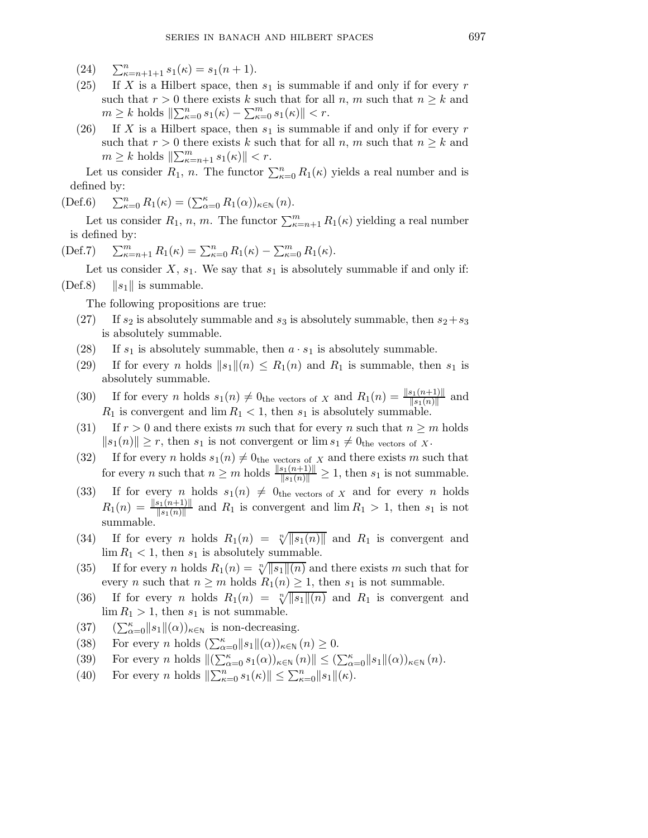(24)  $\sum_{\kappa=n+1+1}^{n} s_1(\kappa) = s_1(n+1).$ 

- (25) If X is a Hilbert space, then  $s_1$  is summable if and only if for every r such that  $r > 0$  there exists k such that for all n, m such that  $n \geq k$  and  $m \geq k$  holds  $\|\sum_{\kappa=0}^{n} s_1(\kappa) - \sum_{\kappa=0}^{m} s_1(\kappa)\| < r.$
- (26) If X is a Hilbert space, then  $s_1$  is summable if and only if for every r such that  $r > 0$  there exists k such that for all n, m such that  $n \geq k$  and  $m \geq k$  holds  $\|\sum_{\kappa=n+1}^m s_1(\kappa)\| < r$ .

Let us consider  $R_1$ , n. The functor  $\sum_{\kappa=0}^n R_1(\kappa)$  yields a real number and is defined by:

 $(Def.6)$  $R_{\kappa=0}^n R_1(\kappa) = (\sum_{\alpha=0}^{\kappa} R_1(\alpha))_{\kappa \in \mathbb{N}} (n).$ 

Let us consider  $R_1$ , n, m. The functor  $\sum_{\kappa=n+1}^m R_1(\kappa)$  yielding a real number is defined by:

(Def.7) 
$$
\sum_{\kappa=n+1}^{m} R_1(\kappa) = \sum_{\kappa=0}^{n} R_1(\kappa) - \sum_{\kappa=0}^{m} R_1(\kappa).
$$

Let us consider  $X$ ,  $s_1$ . We say that  $s_1$  is absolutely summable if and only if: (Def.8)  $\|s_1\|$  is summable.

The following propositions are true:

- (27) If  $s_2$  is absolutely summable and  $s_3$  is absolutely summable, then  $s_2+s_3$ is absolutely summable.
- (28) If  $s_1$  is absolutely summable, then  $a \cdot s_1$  is absolutely summable.
- (29) If for every n holds  $||s_1||(n) \le R_1(n)$  and  $R_1$  is summable, then  $s_1$  is absolutely summable.
- (30) If for every *n* holds  $s_1(n) \neq 0$ <sub>the vectors of *x* and  $R_1(n) = \frac{\|s_1(n+1)\|}{\|s_1(n)\|}$  and</sub>  $R_1$  is convergent and  $\lim R_1 < 1$ , then  $s_1$  is absolutely summable.
- (31) If  $r > 0$  and there exists m such that for every n such that  $n \geq m$  holds  $||s_1(n)|| \geq r$ , then  $s_1$  is not convergent or  $\lim s_1 \neq 0$ <sub>the vectors of X</sub>.
- (32) If for every n holds  $s_1(n) \neq 0$ <sub>the vectors of X</sub> and there exists m such that for every *n* such that  $n \ge m$  holds  $\frac{\|s_1(n+1)\|}{\|s_1(n)\|} \ge 1$ , then  $s_1$  is not summable.
- (33) If for every n holds  $s_1(n) \neq 0$ <sub>the vectors of X</sub> and for every n holds  $R_1(n) = \frac{\|s_1(n+1)\|}{\|s_1(n)\|}$  and  $R_1$  is convergent and  $\lim R_1 > 1$ , then  $s_1$  is not summable.
- (34) If for every *n* holds  $R_1(n) = \sqrt[n]{\vert s_1(n) \vert}$  and  $R_1$  is convergent and  $\lim R_1 < 1$ , then  $s_1$  is absolutely summable.
- (35) If for every n holds  $R_1(n) = \sqrt[n]{\|s_1\|}(n)$  and there exists m such that for every *n* such that  $n \geq m$  holds  $R_1(n) \geq 1$ , then  $s_1$  is not summable.
- (36) If for every *n* holds  $R_1(n) = \sqrt[n]{\|s_1\|(n)}$  and  $R_1$  is convergent and  $\lim R_1 > 1$ , then  $s_1$  is not summable.
- (37)  $(\sum_{\alpha=0}^{\kappa} ||s_1||(\alpha))_{\kappa \in \mathbb{N}}$  is non-decreasing.
- (38) For every *n* holds  $(\sum_{\alpha=0}^{\kappa} ||s_1||(\alpha))_{\kappa \in \mathbb{N}} (n) \geq 0$ .
- (39) For every n holds  $\|(\sum_{\alpha=0}^{\kappa} s_1(\alpha))_{\kappa \in \mathbb{N}} (n)\| \leq (\sum_{\alpha=0}^{\kappa} \|s_1\|(\alpha))_{\kappa \in \mathbb{N}} (n)$ .
- (40) For every *n* holds  $\|\sum_{\kappa=0}^n s_1(\kappa)\| \le \sum_{\kappa=0}^n \|s_1\|(\kappa)$ .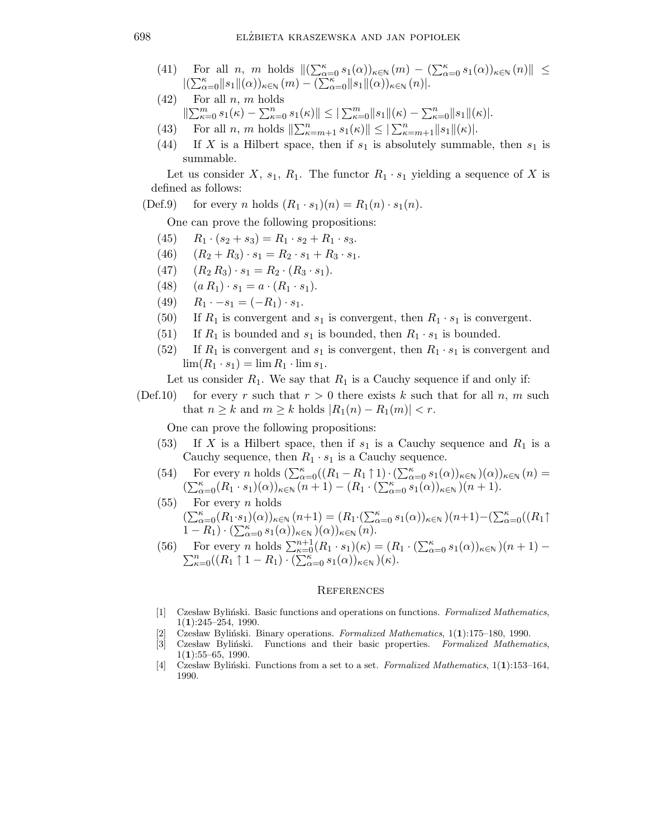- (41) For all n, m holds  $\|(\sum_{\alpha=0}^{\kappa} s_1(\alpha))_{\kappa \in \mathbb{N}} (m) (\sum_{\alpha=0}^{\kappa} s_1(\alpha))_{\kappa \in \mathbb{N}} (n) \| \leq$  $\|(\sum_{\alpha=0}^{\kappa}||s_1||(\alpha))_{\kappa\in\mathbb{N}}(m) - (\sum_{\alpha=0}^{\kappa}||s_1||(\alpha))_{\kappa\in\mathbb{N}}(n)|.$
- $(42)$  For all n, m holds  $||\sum_{\kappa=0}^m s_1(\kappa) - \sum_{\kappa=0}^n s_1(\kappa)|| \le ||\sum_{\kappa=0}^m ||s_1||(\kappa) - \sum_{\kappa=0}^n ||s_1||(\kappa)|.$
- (43) For all *n*, *m* holds  $\|\sum_{\kappa=m+1}^{n} s_1(\kappa)\| \leq \|\sum_{\kappa=m+1}^{n} \|s_1\|(\kappa)\|.$
- (44) If X is a Hilbert space, then if  $s_1$  is absolutely summable, then  $s_1$  is summable.

Let us consider X,  $s_1$ ,  $R_1$ . The functor  $R_1 \cdot s_1$  yielding a sequence of X is defined as follows:

(Def.9) for every n holds  $(R_1 \cdot s_1)(n) = R_1(n) \cdot s_1(n)$ .

One can prove the following propositions:

- (45)  $R_1 \cdot (s_2 + s_3) = R_1 \cdot s_2 + R_1 \cdot s_3.$
- (46)  $(R_2 + R_3) \cdot s_1 = R_2 \cdot s_1 + R_3 \cdot s_1.$
- (47)  $(R_2 R_3) \cdot s_1 = R_2 \cdot (R_3 \cdot s_1).$
- (48)  $(a R_1) \cdot s_1 = a \cdot (R_1 \cdot s_1).$
- (49)  $R_1 \cdot -s_1 = (-R_1) \cdot s_1.$
- (50) If  $R_1$  is convergent and  $s_1$  is convergent, then  $R_1 \cdot s_1$  is convergent.
- (51) If  $R_1$  is bounded and  $s_1$  is bounded, then  $R_1 \cdot s_1$  is bounded.
- (52) If  $R_1$  is convergent and  $s_1$  is convergent, then  $R_1 \cdot s_1$  is convergent and  $\lim(R_1 \cdot s_1) = \lim R_1 \cdot \lim s_1.$

Let us consider  $R_1$ . We say that  $R_1$  is a Cauchy sequence if and only if:

(Def.10) for every r such that  $r > 0$  there exists k such that for all n, m such that  $n \geq k$  and  $m \geq k$  holds  $|R_1(n) - R_1(m)| < r$ .

One can prove the following propositions:

- (53) If X is a Hilbert space, then if  $s_1$  is a Cauchy sequence and  $R_1$  is a Cauchy sequence, then  $R_1 \cdot s_1$  is a Cauchy sequence.
- (54) For every n holds  $\left(\sum_{\alpha=0}^{\kappa}((R_1 R_1 \uparrow 1) \cdot (\sum_{\alpha=0}^{\kappa} s_1(\alpha))_{\kappa \in \mathbb{N}})(\alpha)\right)_{\kappa \in \mathbb{N}} (n) =$  $\left(\sum_{\alpha=0}^{\kappa}(R_1 \cdot s_1)(\alpha)\right)_{\kappa \in \mathbb{N}} (n+1) - \left(R_1 \cdot \left(\sum_{\alpha=0}^{\kappa} s_1(\alpha)\right)_{\kappa \in \mathbb{N}} (n+1)\right)$
- $(55)$  For every *n* holds  $(\sum_{\alpha=0}^{\kappa} (R_1 \cdot s_1)(\alpha))_{\kappa \in \mathbb{N}} (n+1) = (R_1 \cdot (\sum_{\alpha=0}^{\kappa} s_1(\alpha))_{\kappa \in \mathbb{N}})(n+1) - (\sum_{\alpha=0}^{\kappa} ((R_1 \uparrow$  $(1 - R_1) \cdot (\sum_{\alpha=0}^{\kappa} s_1(\alpha))_{\kappa \in \mathbb{N}} (\alpha))_{\kappa \in \mathbb{N}}$  (*n*).
- (56) For every *n* holds  $\sum_{\kappa=0}^{n+1} (R_1 \cdot s_1)(\kappa) = (R_1 \cdot (\sum_{\alpha=0}^{\kappa}$  $\sum$ For every *n* holds  $\sum_{\kappa=0}^{n+1} (R_1 \cdot s_1)(\kappa) = (R_1 \cdot (\sum_{\alpha=0}^{\kappa} s_1(\alpha))_{\kappa \in \mathbb{N}})(n+1) - \sum_{\kappa=0}^{n} ((R_1 \uparrow 1 - R_1) \cdot (\sum_{\alpha=0}^{\kappa} s_1(\alpha))_{\kappa \in \mathbb{N}})(\kappa).$

## **REFERENCES**

- [1] Czesław Byliński. Basic functions and operations on functions. Formalized Mathematics, 1(1):245–254, 1990.
- [2] Czesław Byliński. Binary operations. Formalized Mathematics,  $1(1):175-180$ , 1990.
- [3] Czesław Byliński. Functions and their basic properties. Formalized Mathematics,  $1(1):55-65, 1990.$
- [4] Czesław Byliński. Functions from a set to a set. Formalized Mathematics,  $1(1):153-164$ , 1990.